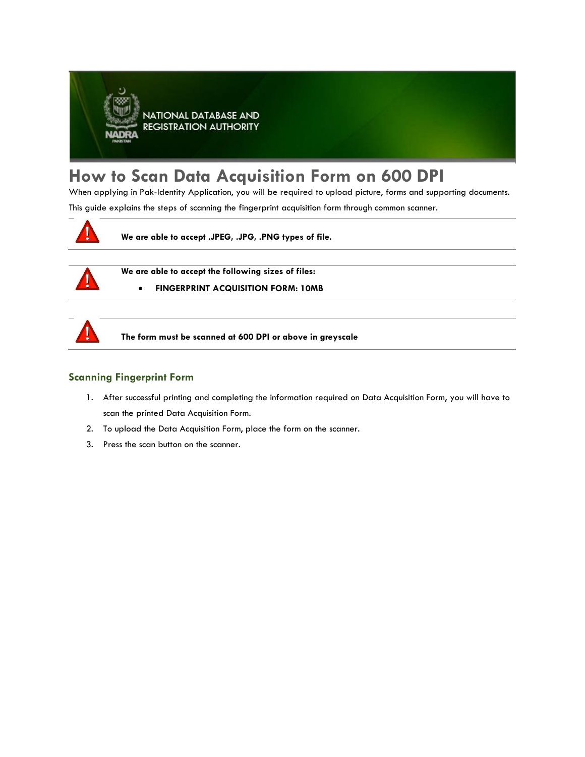

## **How to Scan Data Acquisition Form on 600 DPI**

When applying in Pak-Identity Application, you will be required to upload picture, forms and supporting documents.

This guide explains the steps of scanning the fingerprint acquisition form through common scanner.



**We are able to accept .JPEG, .JPG, .PNG types of file.**



**We are able to accept the following sizes of files:**

• **FINGERPRINT ACQUISITION FORM: 10MB**



**The form must be scanned at 600 DPI or above in greyscale** 

## **Scanning Fingerprint Form**

- 1. After successful printing and completing the information required on Data Acquisition Form, you will have to scan the printed Data Acquisition Form.
- 2. To upload the Data Acquisition Form, place the form on the scanner.
- 3. Press the scan button on the scanner.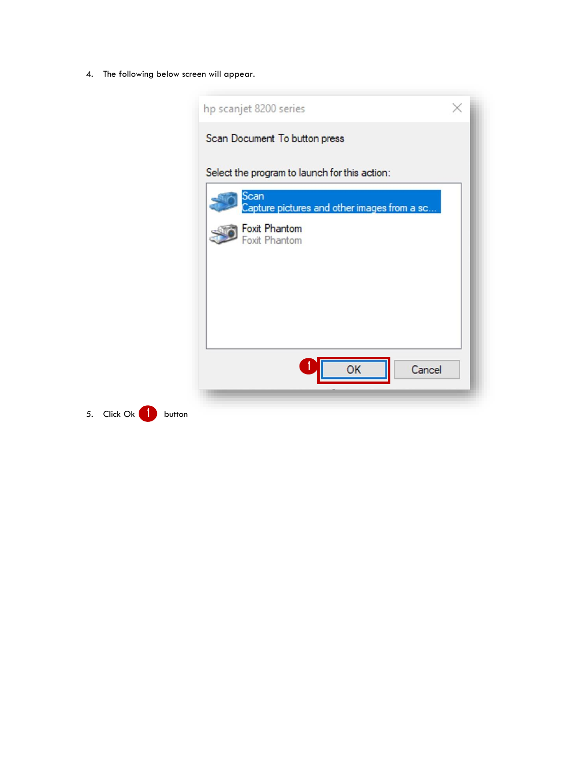4. The following below screen will appear.

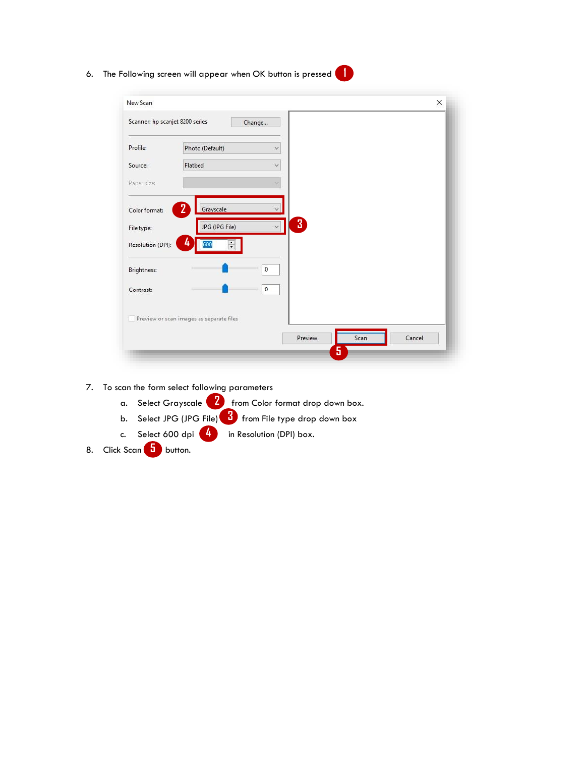6. The Following screen will appear when OK button is pressed **1** 

| New Scan                        |                                          |                     |      | ×      |
|---------------------------------|------------------------------------------|---------------------|------|--------|
| Scanner: hp scanjet 8200 series |                                          | Change              |      |        |
| Profile:                        | Photo (Default)                          | $\ddot{\mathbf{v}}$ |      |        |
| Source:                         | Flatbed                                  | $\ddot{\mathbf{v}}$ |      |        |
| Paper size:                     |                                          |                     |      |        |
| Color format:                   | $2^{\circ}$<br>Grayscale                 |                     |      |        |
| File type:                      | JPG (JPG File)                           | $\mathbf{3}$        |      |        |
| Resolution (DPI):               | 4<br>$\ddot{\dot{}}$<br>600              |                     |      |        |
| Brightness:                     |                                          | $\mathbf 0$         |      |        |
| Contrast:                       |                                          | $\bf 0$             |      |        |
|                                 | Preview or scan images as separate files |                     |      |        |
|                                 |                                          | Preview             | Scan | Cancel |

- 7. To scan the form select following parameters
	- a. Select Grayscale 2 from Color format drop down box.
	- b. Select JPG (JPG File) **3** from File type drop down box
	- c. Select 600 dpi  $\begin{pmatrix} 4 \end{pmatrix}$  in Resolution (DPI) box.
- 8. Click Scan **5** button.